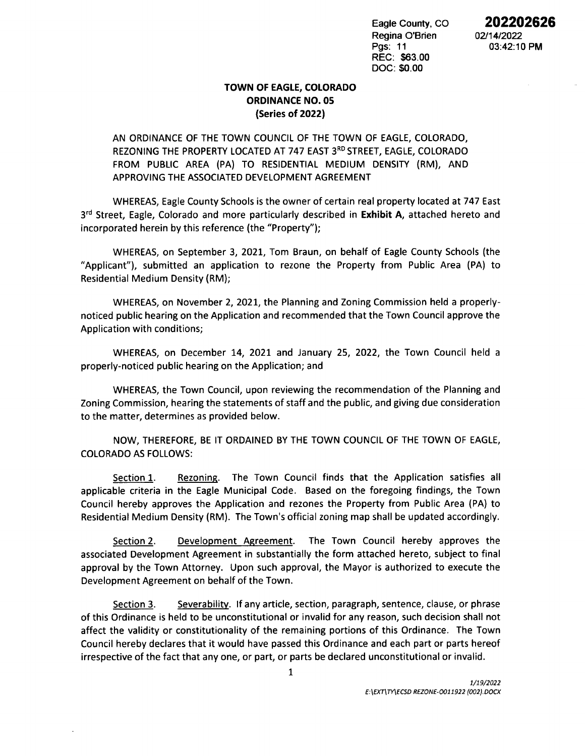Eagle County, CO 2022020.<br>Regina O'Brien 02/14/2022<br>Pgs: 11 03:42:10 PM Pgs: 11<br>REC: \$63.00 DOC: \$0.0

Eagle County, CO 202202626

### TOWN OF EAGLE, COLORADO ORDINANCE NO. 05 (Series of 2022)

AN ORDINANCE OF THE TOWN COUNCIL OF THE TOWN OF EAGLE, COLORADO, REZONING THE PROPERTY LOCATED AT 747 EAST 3RD STREET, EAGLE, COLORADO FROM PUBLIC AREA (PA) TO RESIDENTIAL MEDIUM DENSITY (RM), AND APPROVING THE ASSOCIATED DEVELOPMENT AGREEMENT

WHEREAS, Eagle County Schools is the owner of certain real property located at 747 East 3<sup>rd</sup> Street, Eagle, Colorado and more particularly described in **Exhibit A**, attached hereto and incorporated herein by this reference (the "Property");

WHEREAS, on September 3, 2021, Tom Braun, on behalf of Eagle County Schools ( the "Applicant"), submitted an application to rezone the Property from Public Area (PA) to Residential Medium Density (RM);

WHEREAS, on November 2, 2021, the Planning and Zoning Commission held <sup>a</sup> properly noticed public hearing on the Application and recommended that the Town Council approve the Application with conditions;

WHEREAS, on December 14, 2021 and January 25, 2022, the Town Council held <sup>a</sup> properly -noticed public hearing on the Application; and

WHEREAS, the Town Council, upon reviewing the recommendation of the Planning and Zoning Commission, hearing the statements of staff and the public, and giving due consideration to the matter, determines as provided below.

NOW, THEREFORE, BE IT ORDAINED BY THE TOWN COUNCIL OF THE TOWN OF EAGLE, COLORADO AS FOLLOWS:

Section 1. Rezoning. The Town Council finds that the Application satisfies all applicable criteria in the Eagle Municipal Code. Based on the foregoing findings, the Town Council hereby approves the Application and rezones the Property from Public Area ( PA) to Section 1. Residential Medium Density (RM). The Town Council Times that the Application satisfies a<br>Council hereby approves the Application and rezones the Property from Public Area (PA) to<br>Residential Medium Density (RM).

Section 2. Development Agreement. The Town Council hereby approves the associated Development Agreement in substantially the form attached hereto, subject to final approval by the Town Attorney. Upon such approval, the Mayor is authorized to execute the Development Agreement on behalf of the Town.

Section 3. Severability. If any article, section, paragraph, sentence, clause, or phrase of this Ordinance is held to be unconstitutional or invalid for any reason, such decision shall not affect the validity or constitutionality of the remaining portions of this Ordinance. The Town Council hereby declares that it would have passed this Ordinance and each part or parts hereof irrespective of the fact that any one, or part, or parts be declared unconstitutional or invalid.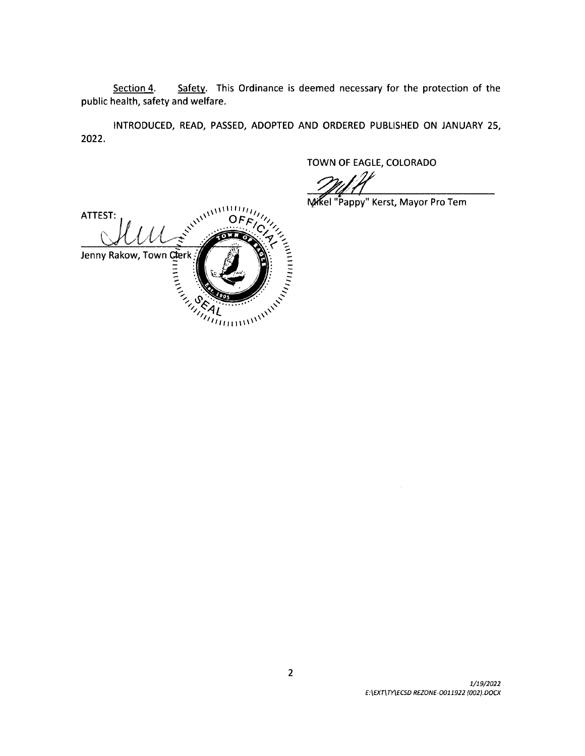Section 4. Safety. This Ordinance is deemed necessary for the protection of the public health, safety and welfare.

INTRODUCED, READ, PASSED, ADOPTED AND ORDERED PUBLISHED ON JANUARY 25, 2022.

TOWN OF EAGLE, COLORADO

Mikel "Pappy" Kerst, Mayor Pro Tem

Alling ATTEST:  $\frac{\mathsf{OF}}{2}$ Jenny Rakow, Town Gterk<br>
Fig. of AL<br>
The Second Contract of the Contract of the Contract of the Contract of the Contract of the Contract of the Contract of the Contract of the Contract of the Contract of the Contract of th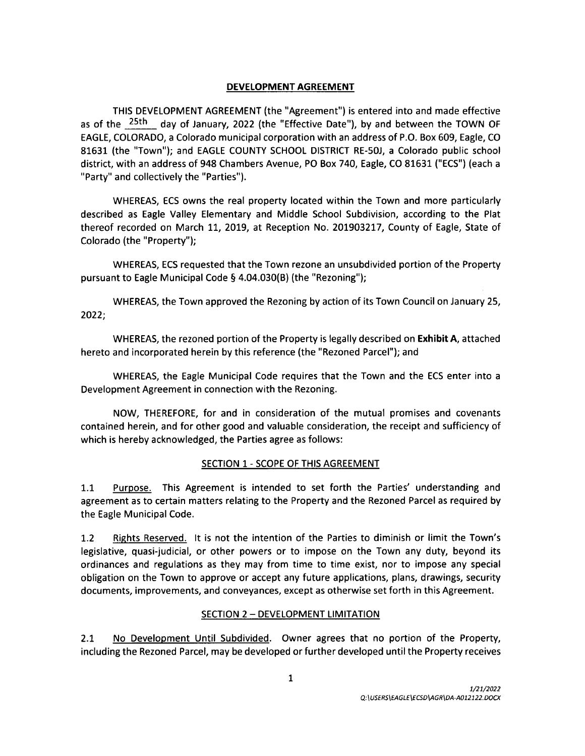### DEVELOPMENT AGREEMENT

THIS DEVELOPMENT AGREEMENT ( the " Agreement") is entered into and made effective as of the <sup>25th</sup> day of January, 2022 (the "Effective Date"), by and between the TOWN OF EAGLE, COLORADO, <sup>a</sup> Colorado municipal corporation with an address of P. O. Box 609, Eagle, CO 81631 (the "Town"); and EAGLE COUNTY SCHOOL DISTRICT RE-50J, a Colorado public school district, with an address of 948 Chambers Avenue, PO Box 740, Eagle, CO 81631 (" ECS") (each <sup>a</sup> "Party" and collectively the "Parties").

WHEREAS, ECS owns the real property located within the Town and more particularly described as Eagle Valley Elementary and Middle School Subdivision, according to the Plat thereof recorded on March 11, 2019, at Reception No. 201903217, County of Eagle, State of Colorado (the "Property");

WHEREAS, ECS requested that the Town rezone an unsubdivided portion of the Property pursuant to Eagle Municipal Code § 4.04.030(B) (the "Rezoning");

WHEREAS, the Town approved the Rezoning by action of its Town Council on January 25, 2022;

WHEREAS, the rezoned portion of the Property is legally described on Exhibit A, attached hereto and incorporated herein by this reference ( the " Rezoned Parcel"); and

WHEREAS, the Eagle Municipal Code requires that the Town and the ECS enter into <sup>a</sup> Development Agreement in connection with the Rezoning.

NOW, THEREFORE, for and in consideration of the mutual promises and covenants contained herein, and for other good and valuable consideration, the receipt and sufficiency of which is hereby acknowledged, the Parties agree as follows:

#### SECTION 1- SCOPE OF THIS AGREEMENT

1.1 Purpose. This Agreement is intended to set forth the Parties' understanding and agreement as to certain matters relating to the Property and the Rezoned Parcel as required by the Eagle Municipal Code.

1.2 Rights Reserved. It is not the intention of the Parties to diminish or limit the Town's legislative, quasi-judicial, or other powers or to impose on the Town any duty, beyond its ordinances and regulations as they may from time to time exist, nor to impose any special obligation on the Town to approve or accept any future applications, plans, drawings, security documents, improvements, and conveyances, except as otherwise set forth in this Agreement.

#### SECTION 2 - DEVELOPMENT LIMITATION

2.1 No Development Until Subdivided. Owner agrees that no portion of the Property, including the Rezoned Parcel, may be developed or further developed until the Property receives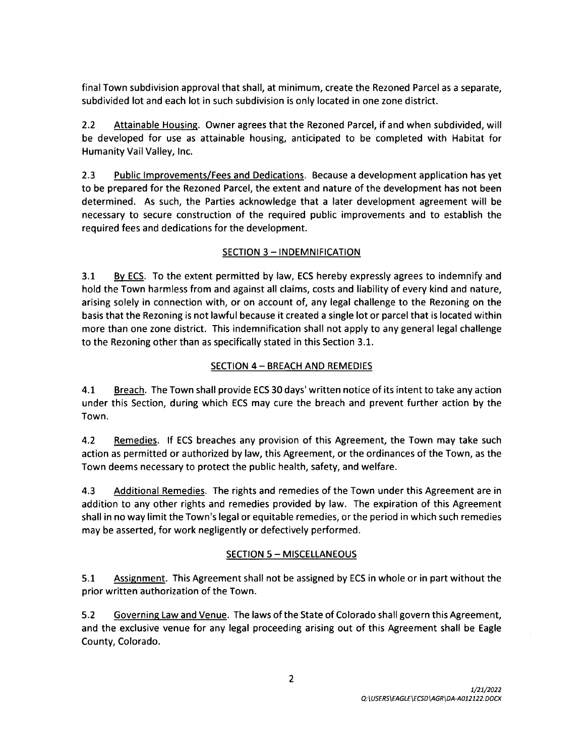final Town subdivision approval that shall, at minimum, create the Rezoned Parcel as <sup>a</sup> separate, subdivided lot and each lot in such subdivision is only located in one zone district.

2.2 Attainable Housing. Owner agrees that the Rezoned Parcel, if and when subdivided, will be developed for use as attainable housing, anticipated to be completed with Habitat for Humanity Vail Valley, Inc.

2.3 Public Improvements/Fees and Dedications. Because a development application has yet to be prepared for the Rezoned Parcel, the extent and nature of the development has not been determined. As such, the Parties acknowledge that <sup>a</sup> later development agreement will be necessary to secure construction of the required public improvements and to establish the required fees and dedications for the development.

## SECTION 3 — INDEMNIFICATION

3.1 By ECS. To the extent permitted by law, ECS hereby expressly agrees to indemnify and hold the Town harmless from and against all claims, costs and liability of every kind and nature, arising solely in connection with, or on account of, any legal challenge to the Rezoning on the basis that the Rezoning is not lawful because it created <sup>a</sup> single lot or parcel that is located within more than one zone district. This indemnification shall not apply to any general legal challenge to the Rezoning other than as specifically stated in this Section 3.1.

# SECTION 4 — BREACH AND REMEDIES

4.1 Breach. The Town shall provide ECS 30 days' written notice of its intent to take any action under this Section, during which ECS may cure the breach and prevent further action by the Town.

4.2 Remedies. If ECS breaches any provision of this Agreement, the Town may take such action as permitted or authorized by law, this Agreement, or the ordinances of the Town, as the Town deems necessary to protect the public health, safety, and welfare.

4.3 Additional Remedies. The rights and remedies of the Town under this Agreement are in addition to any other rights and remedies provided by law. The expiration of this Agreement 4.3 Additional Remedies. The rights and remedies of the Town under this Agreement are in addition to any other rights and remedies provided by law. The expiration of this Agreement shall in no way limit the Town's legal or may be asserted, for work negligently or defectively performed.

# SECTION 5 — MISCELLANEOUS

5.1 Assignment. This Agreement shall not be assigned by ECS in whole or in part without the prior written authorization of the Town.

5. 2 Governing Law and Venue. The laws of the State of Colorado shall govern this Agreement, and the exclusive venue for any legal proceeding arising out of this Agreement shall be Eagle County, Colorado.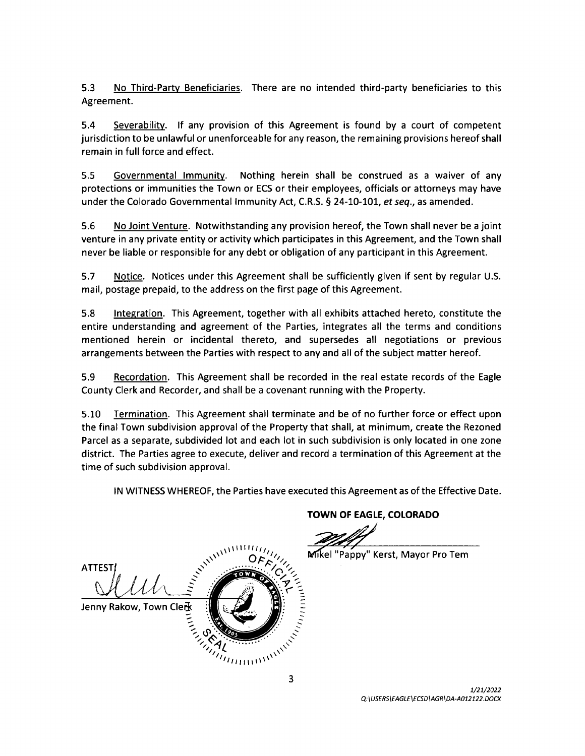5.3 No Third-Party Beneficiaries. There are no intended third-party beneficiaries to this Agreement.

5.4 Severability. If any provision of this Agreement is found by a court of competent jurisdiction to be unlawful or unenforceable for any reason, the remaining provisions hereof shall remain in full force and effect.

5. Governmental Immunity. Nothing herein shall be construed as <sup>a</sup> waiver of any protections or immunities the Town or ECS or their employees, officials or attorneys may have under the Colorado Governmental Immunity Act, C.R.S. § 24-10-101, *et seq.*, as amended.

5.6 No Joint Venture. Notwithstanding any provision hereof, the Town shall never be a joint venture in any private entity or activity which participates in this Agreement, and the Town shall never be liable or responsible for any debt or obligation of any participant in this Agreement.

5.7 Notice. Notices under this Agreement shall be sufficiently given if sent by regular U.S. mail, postage prepaid, to the address on the first page of this Agreement.

5. 8 Integration. This Agreement, together with all exhibits attached hereto, constitute the entire understanding and agreement of the Parties, integrates all the terms and conditions mentioned herein or incidental thereto, and supersedes all negotiations or previous arrangements between the Parties with respect to any and all of the subject matter hereof.

5. 9 Recordation. This Agreement shall be recorded in the real estate records of the Eagle County Clerk and Recorder, and shall be <sup>a</sup> covenant running with the Property.

5. 10 Termination. This Agreement shall terminate and be of no further force or effect upon the final Town subdivision approval of the Property that shall, at minimum, create the Rezoned Parcel as <sup>a</sup> separate, subdivided lot and each lot in such subdivision is only located in one zone district. The Parties agree to execute, deliver and record <sup>a</sup> termination of this Agreement at the time of such subdivision approval.

IN WITNESS WHEREOF, the Parties have executed this Agreement as of the Effective Date.

**ATTEST**  $\left\langle \left\langle \cdot\right\rangle \right\rangle$  $Z_{\frac{1}{2}}$  $\overline{O}$ Jenny Rakow, Town Clerk

TOWN OF EAGLE, COLORADO

Pappy" Kerst, Mayor Pro Tem

1/21/2022 Q:\USERS\EAGLE\ECSD\AGR\DA-A012122.DOCX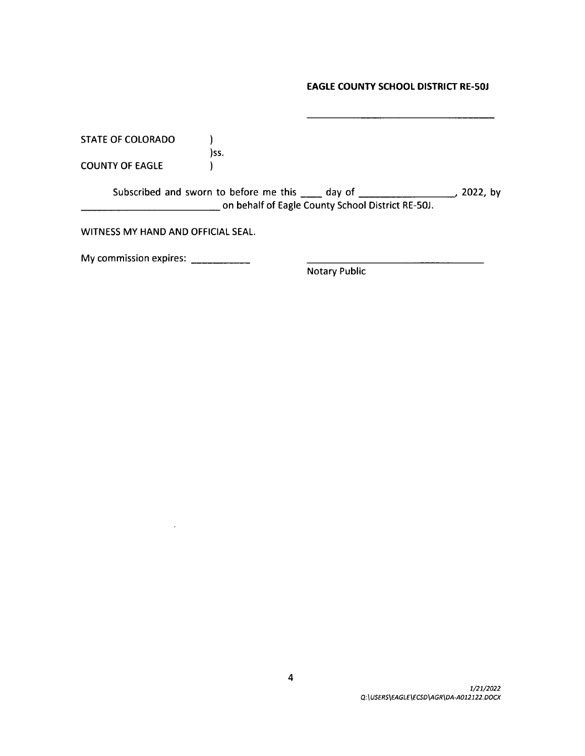### **EAGLE COUNTY SCHOOL DISTRICT RE-50J**

STATE OF COLORADO  $\mathcal{L}$ )ss. COUNTY OF EAGLE  $\mathcal{L}$ 

> Subscribed and sworn to before me this  $\frac{1}{\sqrt{2\pi}}$  day of on behalf of Eagle County School District RE -50J. 2022, by

WITNESS MY HAND AND OFFICIAL SEAL.

My commission expires:

Notary Public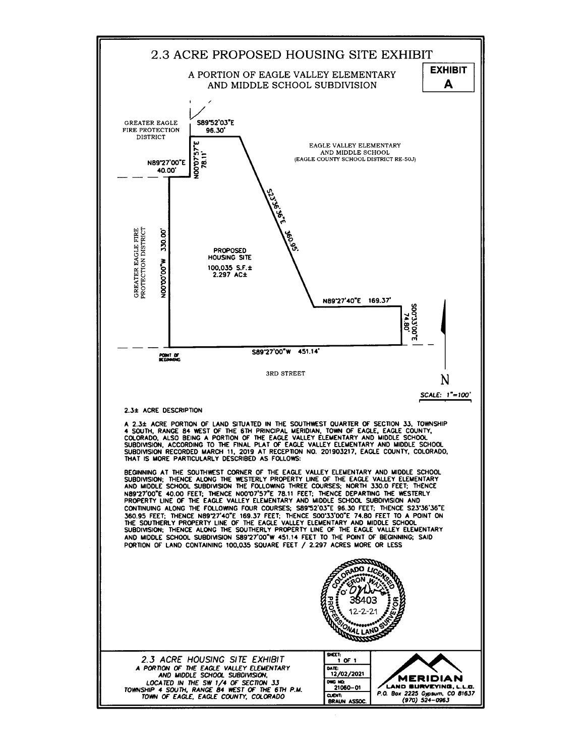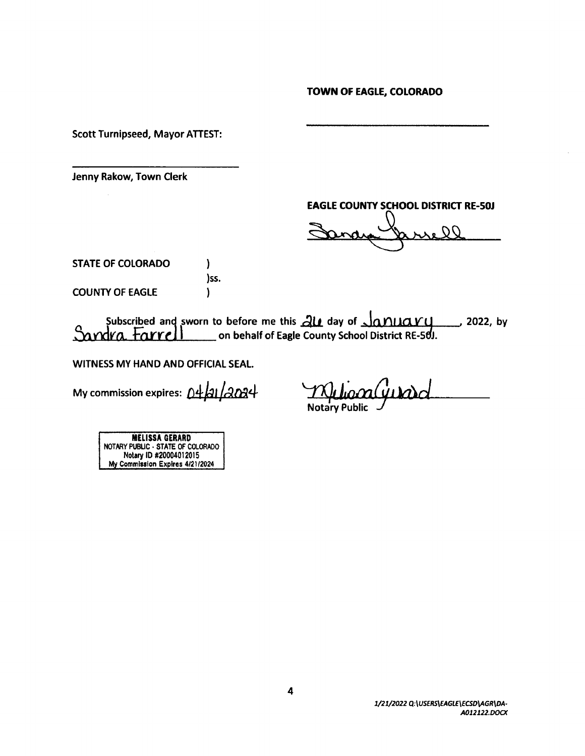#### TOWN OF EAGLE, COLORADO

Scott Turnipseed, Mayor ATTEST:

Jenny Rakow, Town Clerk

EAGLE COUNTY SCHOOL DISTRICT RE -50J

| STATE OF COLORADO      |      |
|------------------------|------|
|                        | )ss. |
| <b>COUNTY OF EAGLE</b> |      |

Subscribed and sworn to before me this 211 day of January 2022, by<br>Sardra Farrell on behalf of Eagle County School District RE-56J.

WITNESS MY HAND AND OFFICIAL SEAL.

My commission expires:  $04/3034$ 

 $\bm{u}$ urityl $\bm{\alpha}$ 

Notary Public

MELISSA GERARD NOTARY PUBLIC - STATE OF COLORADO Notary ID #20004012015 My Commission Expires 4/21/2024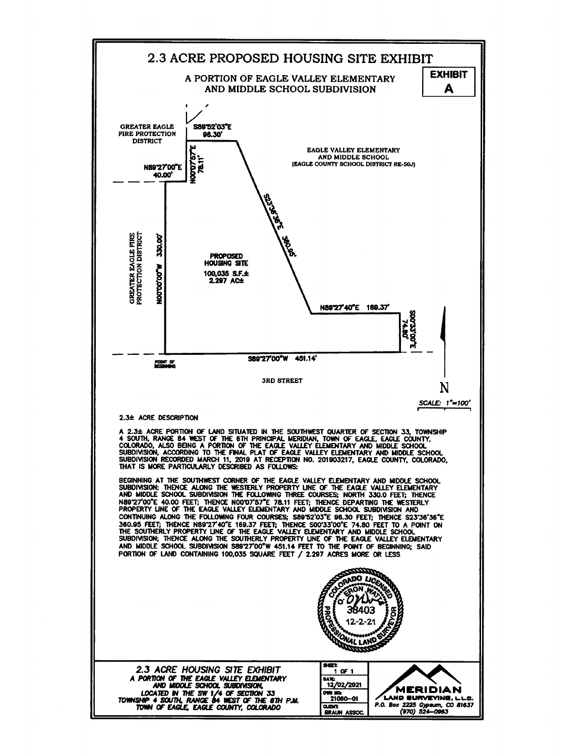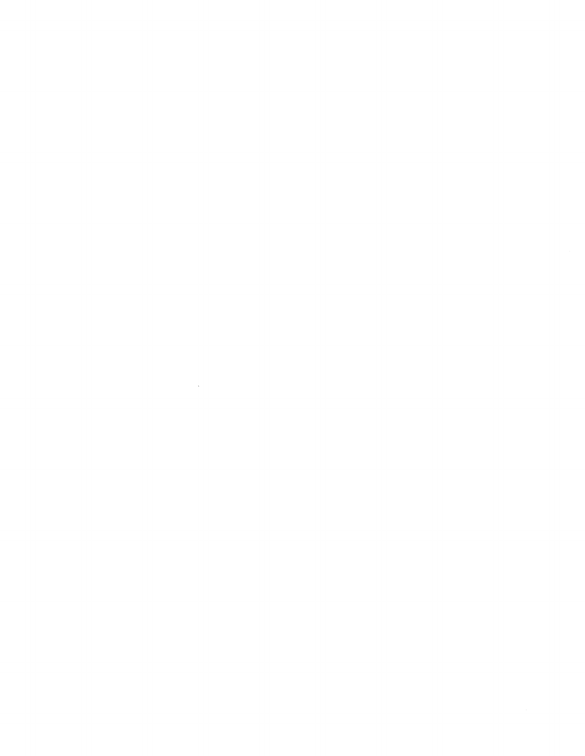$\label{eq:2.1} \frac{1}{\sqrt{2}}\left(\frac{1}{\sqrt{2}}\right)^{2} \left(\frac{1}{\sqrt{2}}\right)^{2} \left(\frac{1}{\sqrt{2}}\right)^{2} \left(\frac{1}{\sqrt{2}}\right)^{2} \left(\frac{1}{\sqrt{2}}\right)^{2} \left(\frac{1}{\sqrt{2}}\right)^{2} \left(\frac{1}{\sqrt{2}}\right)^{2} \left(\frac{1}{\sqrt{2}}\right)^{2} \left(\frac{1}{\sqrt{2}}\right)^{2} \left(\frac{1}{\sqrt{2}}\right)^{2} \left(\frac{1}{\sqrt{2}}\right)^{2} \left(\$